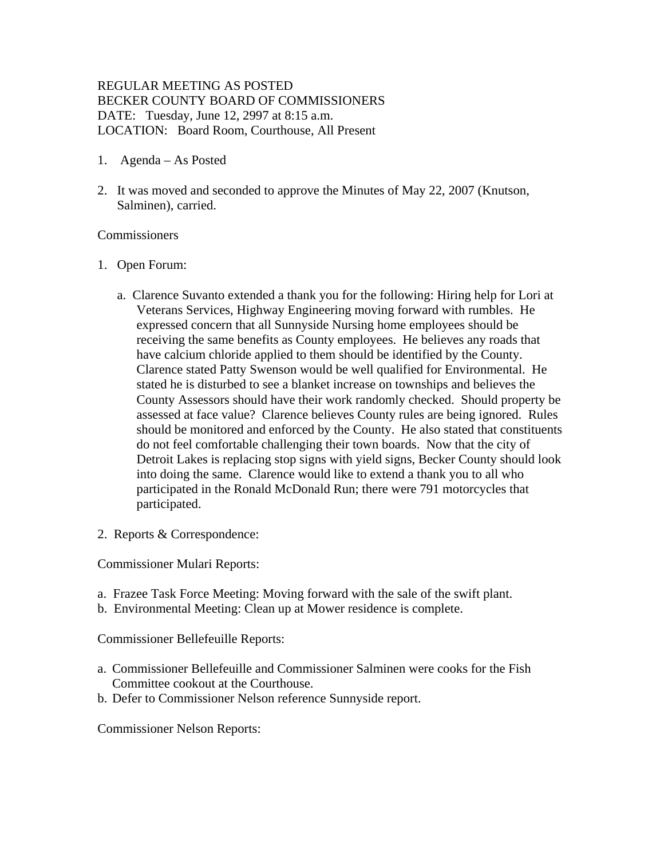# REGULAR MEETING AS POSTED BECKER COUNTY BOARD OF COMMISSIONERS DATE: Tuesday, June 12, 2997 at 8:15 a.m. LOCATION: Board Room, Courthouse, All Present

- 1. Agenda As Posted
- 2. It was moved and seconded to approve the Minutes of May 22, 2007 (Knutson, Salminen), carried.

### Commissioners

- 1. Open Forum:
	- a. Clarence Suvanto extended a thank you for the following: Hiring help for Lori at Veterans Services, Highway Engineering moving forward with rumbles. He expressed concern that all Sunnyside Nursing home employees should be receiving the same benefits as County employees. He believes any roads that have calcium chloride applied to them should be identified by the County. Clarence stated Patty Swenson would be well qualified for Environmental. He stated he is disturbed to see a blanket increase on townships and believes the County Assessors should have their work randomly checked. Should property be assessed at face value? Clarence believes County rules are being ignored. Rules should be monitored and enforced by the County. He also stated that constituents do not feel comfortable challenging their town boards. Now that the city of Detroit Lakes is replacing stop signs with yield signs, Becker County should look into doing the same. Clarence would like to extend a thank you to all who participated in the Ronald McDonald Run; there were 791 motorcycles that participated.
- 2. Reports & Correspondence:

Commissioner Mulari Reports:

- a. Frazee Task Force Meeting: Moving forward with the sale of the swift plant.
- b. Environmental Meeting: Clean up at Mower residence is complete.

Commissioner Bellefeuille Reports:

- a. Commissioner Bellefeuille and Commissioner Salminen were cooks for the Fish Committee cookout at the Courthouse.
- b. Defer to Commissioner Nelson reference Sunnyside report.

Commissioner Nelson Reports: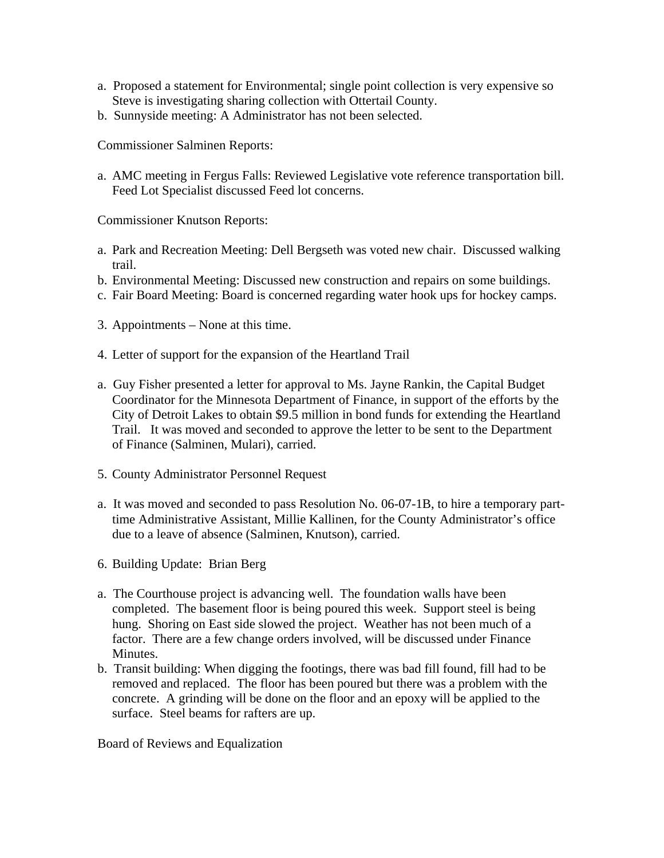- a. Proposed a statement for Environmental; single point collection is very expensive so Steve is investigating sharing collection with Ottertail County.
- b. Sunnyside meeting: A Administrator has not been selected.

Commissioner Salminen Reports:

a. AMC meeting in Fergus Falls: Reviewed Legislative vote reference transportation bill. Feed Lot Specialist discussed Feed lot concerns.

Commissioner Knutson Reports:

- a. Park and Recreation Meeting: Dell Bergseth was voted new chair. Discussed walking trail.
- b. Environmental Meeting: Discussed new construction and repairs on some buildings.
- c. Fair Board Meeting: Board is concerned regarding water hook ups for hockey camps.
- 3. Appointments None at this time.
- 4. Letter of support for the expansion of the Heartland Trail
- a. Guy Fisher presented a letter for approval to Ms. Jayne Rankin, the Capital Budget Coordinator for the Minnesota Department of Finance, in support of the efforts by the City of Detroit Lakes to obtain \$9.5 million in bond funds for extending the Heartland Trail. It was moved and seconded to approve the letter to be sent to the Department of Finance (Salminen, Mulari), carried.
- 5. County Administrator Personnel Request
- a. It was moved and seconded to pass Resolution No. 06-07-1B, to hire a temporary parttime Administrative Assistant, Millie Kallinen, for the County Administrator's office due to a leave of absence (Salminen, Knutson), carried.
- 6. Building Update: Brian Berg
- a. The Courthouse project is advancing well. The foundation walls have been completed. The basement floor is being poured this week. Support steel is being hung. Shoring on East side slowed the project. Weather has not been much of a factor. There are a few change orders involved, will be discussed under Finance Minutes.
- b. Transit building: When digging the footings, there was bad fill found, fill had to be removed and replaced. The floor has been poured but there was a problem with the concrete. A grinding will be done on the floor and an epoxy will be applied to the surface. Steel beams for rafters are up.

Board of Reviews and Equalization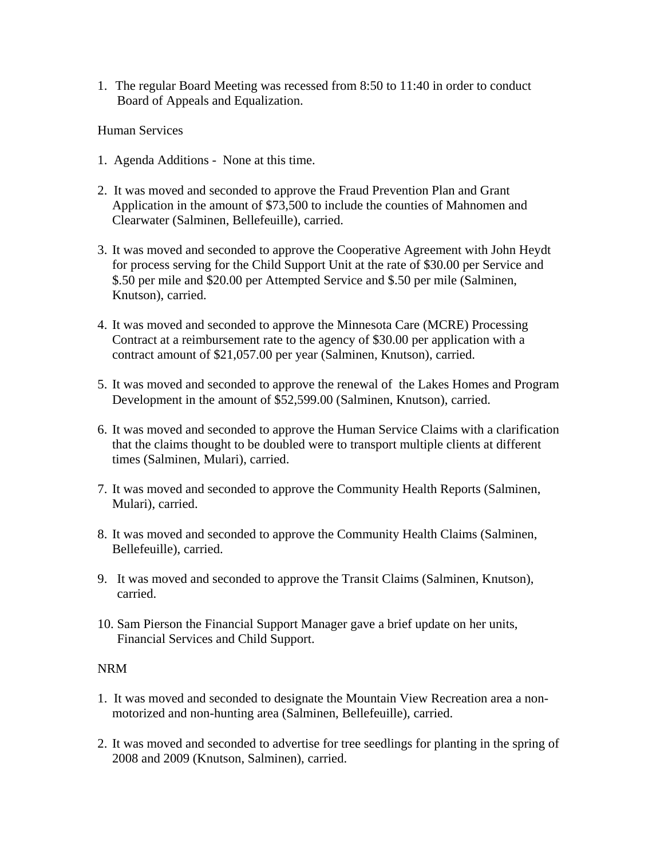1. The regular Board Meeting was recessed from 8:50 to 11:40 in order to conduct Board of Appeals and Equalization.

# Human Services

- 1. Agenda Additions None at this time.
- 2. It was moved and seconded to approve the Fraud Prevention Plan and Grant Application in the amount of \$73,500 to include the counties of Mahnomen and Clearwater (Salminen, Bellefeuille), carried.
- 3. It was moved and seconded to approve the Cooperative Agreement with John Heydt for process serving for the Child Support Unit at the rate of \$30.00 per Service and \$.50 per mile and \$20.00 per Attempted Service and \$.50 per mile (Salminen, Knutson), carried.
- 4. It was moved and seconded to approve the Minnesota Care (MCRE) Processing Contract at a reimbursement rate to the agency of \$30.00 per application with a contract amount of \$21,057.00 per year (Salminen, Knutson), carried.
- 5. It was moved and seconded to approve the renewal of the Lakes Homes and Program Development in the amount of \$52,599.00 (Salminen, Knutson), carried.
- 6. It was moved and seconded to approve the Human Service Claims with a clarification that the claims thought to be doubled were to transport multiple clients at different times (Salminen, Mulari), carried.
- 7. It was moved and seconded to approve the Community Health Reports (Salminen, Mulari), carried.
- 8. It was moved and seconded to approve the Community Health Claims (Salminen, Bellefeuille), carried.
- 9. It was moved and seconded to approve the Transit Claims (Salminen, Knutson), carried.
- 10. Sam Pierson the Financial Support Manager gave a brief update on her units, Financial Services and Child Support.

### NRM

- 1. It was moved and seconded to designate the Mountain View Recreation area a nonmotorized and non-hunting area (Salminen, Bellefeuille), carried.
- 2. It was moved and seconded to advertise for tree seedlings for planting in the spring of 2008 and 2009 (Knutson, Salminen), carried.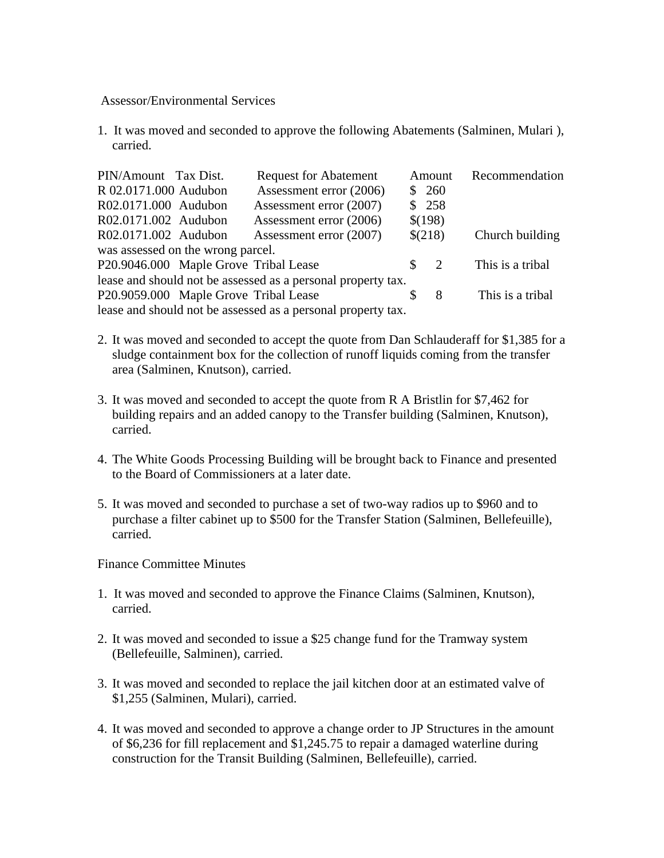#### Assessor/Environmental Services

1. It was moved and seconded to approve the following Abatements (Salminen, Mulari ), carried.

| PIN/Amount Tax Dist.                                         | <b>Request for Abatement</b> |   | Amount  | Recommendation   |
|--------------------------------------------------------------|------------------------------|---|---------|------------------|
| R 02.0171.000 Audubon                                        | Assessment error (2006)      |   | \$260   |                  |
| R02.0171.000 Audubon                                         | Assessment error (2007)      |   | \$258   |                  |
| R02.0171.002 Audubon                                         | Assessment error (2006)      |   | \$(198) |                  |
| R02.0171.002 Audubon                                         | Assessment error (2007)      |   | \$(218) | Church building  |
| was assessed on the wrong parcel.                            |                              |   |         |                  |
| P20.9046.000 Maple Grove Tribal Lease                        |                              | S | 2       | This is a tribal |
| lease and should not be assessed as a personal property tax. |                              |   |         |                  |
| P20.9059.000 Maple Grove Tribal Lease                        |                              | S | 8       | This is a tribal |
| lease and should not be assessed as a personal property tax. |                              |   |         |                  |

- 2. It was moved and seconded to accept the quote from Dan Schlauderaff for \$1,385 for a sludge containment box for the collection of runoff liquids coming from the transfer area (Salminen, Knutson), carried.
- 3. It was moved and seconded to accept the quote from R A Bristlin for \$7,462 for building repairs and an added canopy to the Transfer building (Salminen, Knutson), carried.
- 4. The White Goods Processing Building will be brought back to Finance and presented to the Board of Commissioners at a later date.
- 5. It was moved and seconded to purchase a set of two-way radios up to \$960 and to purchase a filter cabinet up to \$500 for the Transfer Station (Salminen, Bellefeuille), carried.

Finance Committee Minutes

- 1. It was moved and seconded to approve the Finance Claims (Salminen, Knutson), carried.
- 2. It was moved and seconded to issue a \$25 change fund for the Tramway system (Bellefeuille, Salminen), carried.
- 3. It was moved and seconded to replace the jail kitchen door at an estimated valve of \$1,255 (Salminen, Mulari), carried.
- 4. It was moved and seconded to approve a change order to JP Structures in the amount of \$6,236 for fill replacement and \$1,245.75 to repair a damaged waterline during construction for the Transit Building (Salminen, Bellefeuille), carried.